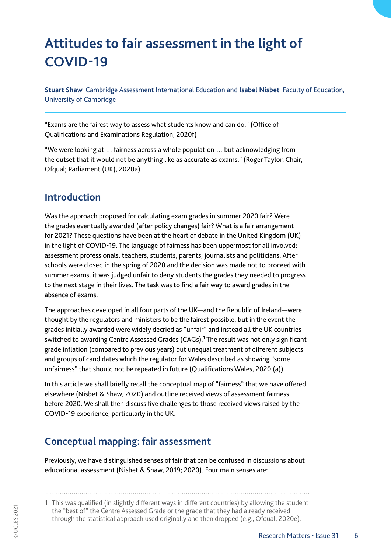# **Attitudes to fair assessment in the light of COVID-19**

**Stuart Shaw** Cambridge Assessment International Education and **Isabel Nisbet** Faculty of Education, University of Cambridge

"Exams are the fairest way to assess what students know and can do." (Office of Qualifications and Examinations Regulation, 2020f)

"We were looking at … fairness across a whole population … but acknowledging from the outset that it would not be anything like as accurate as exams." (Roger Taylor, Chair, Ofqual; Parliament (UK), 2020a)

### **Introduction**

Was the approach proposed for calculating exam grades in summer 2020 fair? Were the grades eventually awarded (after policy changes) fair? What is a fair arrangement for 2021? These questions have been at the heart of debate in the United Kingdom (UK) in the light of COVID-19. The language of fairness has been uppermost for all involved: assessment professionals, teachers, students, parents, journalists and politicians. After schools were closed in the spring of 2020 and the decision was made not to proceed with summer exams, it was judged unfair to deny students the grades they needed to progress to the next stage in their lives. The task was to find a fair way to award grades in the absence of exams.

The approaches developed in all four parts of the UK—and the Republic of Ireland—were thought by the regulators and ministers to be the fairest possible, but in the event the grades initially awarded were widely decried as "unfair" and instead all the UK countries switched to awarding Centre Assessed Grades (CAGs).<sup>1</sup> The result was not only significant grade inflation (compared to previous years) but unequal treatment of different subjects and groups of candidates which the regulator for Wales described as showing "some unfairness" that should not be repeated in future (Qualifications Wales, 2020 (a)).

In this article we shall briefly recall the conceptual map of "fairness" that we have offered elsewhere (Nisbet & Shaw, 2020) and outline received views of assessment fairness before 2020. We shall then discuss five challenges to those received views raised by the COVID-19 experience, particularly in the UK.

## **Conceptual mapping: fair assessment**

Previously, we have distinguished senses of fair that can be confused in discussions about educational assessment (Nisbet & Shaw, 2019; 2020). Four main senses are:

1 This was qualified (in slightly different ways in different countries) by allowing the student the "best of" the Centre Assessed Grade or the grade that they had already received through the statistical approach used originally and then dropped (e.g., Ofqual, 2020e).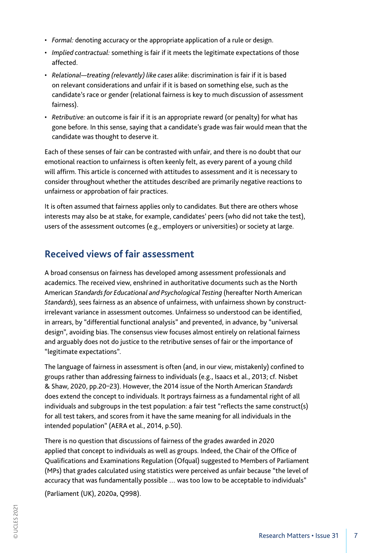- *Formal:* denoting accuracy or the appropriate application of a rule or design.
- *Implied contractual:* something is fair if it meets the legitimate expectations of those affected.
- *Relational—treating (relevantly) like cases alike*: discrimination is fair if it is based on relevant considerations and unfair if it is based on something else, such as the candidate's race or gender (relational fairness is key to much discussion of assessment fairness).
- *Retributive:* an outcome is fair if it is an appropriate reward (or penalty) for what has gone before. In this sense, saying that a candidate's grade was fair would mean that the candidate was thought to deserve it.

Each of these senses of fair can be contrasted with unfair, and there is no doubt that our emotional reaction to unfairness is often keenly felt, as every parent of a young child will affirm. This article is concerned with attitudes to assessment and it is necessary to consider throughout whether the attitudes described are primarily negative reactions to unfairness or approbation of fair practices.

It is often assumed that fairness applies only to candidates. But there are others whose interests may also be at stake, for example, candidates' peers (who did not take the test), users of the assessment outcomes (e.g., employers or universities) or society at large.

# **Received views of fair assessment**

A broad consensus on fairness has developed among assessment professionals and academics. The received view, enshrined in authoritative documents such as the North American *Standards for Educational and Psychological Testing* (hereafter North American *Standards*), sees fairness as an absence of unfairness, with unfairness shown by constructirrelevant variance in assessment outcomes. Unfairness so understood can be identified, in arrears, by "differential functional analysis" and prevented, in advance, by "universal design", avoiding bias. The consensus view focuses almost entirely on relational fairness and arguably does not do justice to the retributive senses of fair or the importance of "legitimate expectations".

The language of fairness in assessment is often (and, in our view, mistakenly) confined to groups rather than addressing fairness to individuals (e.g., Isaacs et al., 2013; cf. Nisbet & Shaw, 2020, pp.20–23). However, the 2014 issue of the North American *Standards*  does extend the concept to individuals. It portrays fairness as a fundamental right of all individuals and subgroups in the test population: a fair test "reflects the same construct(s) for all test takers, and scores from it have the same meaning for all individuals in the intended population" (AERA et al., 2014, p.50).

There is no question that discussions of fairness of the grades awarded in 2020 applied that concept to individuals as well as groups. Indeed, the Chair of the Office of Qualifications and Examinations Regulation (Ofqual) suggested to Members of Parliament (MPs) that grades calculated using statistics were perceived as unfair because "the level of accuracy that was fundamentally possible … was too low to be acceptable to individuals" (Parliament (UK), 2020a, Q998).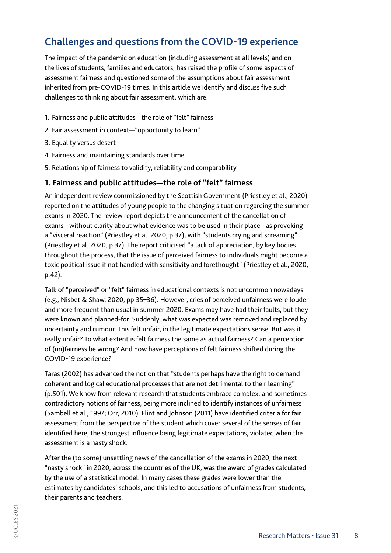# **Challenges and questions from the COVID-19 experience**

The impact of the pandemic on education (including assessment at all levels) and on the lives of students, families and educators, has raised the profile of some aspects of assessment fairness and questioned some of the assumptions about fair assessment inherited from pre-COVID-19 times. In this article we identify and discuss five such challenges to thinking about fair assessment, which are:

- 1. Fairness and public attitudes—the role of "felt" fairness
- 2. Fair assessment in context—"opportunity to learn"
- 3. Equality versus desert
- 4. Fairness and maintaining standards over time
- 5. Relationship of fairness to validity, reliability and comparability

#### **1. Fairness and public attitudes—the role of "felt" fairness**

An independent review commissioned by the Scottish Government (Priestley et al., 2020) reported on the attitudes of young people to the changing situation regarding the summer exams in 2020. The review report depicts the announcement of the cancellation of exams—without clarity about what evidence was to be used in their place—as provoking a "visceral reaction" (Priestley et al. 2020, p.37), with "students crying and screaming" (Priestley et al. 2020, p.37). The report criticised "a lack of appreciation, by key bodies throughout the process, that the issue of perceived fairness to individuals might become a toxic political issue if not handled with sensitivity and forethought" (Priestley et al., 2020, p.42).

Talk of "perceived" or "felt" fairness in educational contexts is not uncommon nowadays (e.g., Nisbet & Shaw, 2020, pp.35–36). However, cries of perceived unfairness were louder and more frequent than usual in summer 2020. Exams may have had their faults, but they were known and planned-for. Suddenly, what was expected was removed and replaced by uncertainty and rumour. This felt unfair, in the legitimate expectations sense. But was it really unfair? To what extent is felt fairness the same as actual fairness? Can a perception of (un)fairness be wrong? And how have perceptions of felt fairness shifted during the COVID-19 experience?

Taras (2002) has advanced the notion that "students perhaps have the right to demand coherent and logical educational processes that are not detrimental to their learning" (p.501). We know from relevant research that students embrace complex, and sometimes contradictory notions of fairness, being more inclined to identify instances of unfairness (Sambell et al., 1997; Orr, 2010). Flint and Johnson (2011) have identified criteria for fair assessment from the perspective of the student which cover several of the senses of fair identified here, the strongest influence being legitimate expectations, violated when the assessment is a nasty shock.

After the (to some) unsettling news of the cancellation of the exams in 2020, the next "nasty shock" in 2020, across the countries of the UK, was the award of grades calculated by the use of a statistical model. In many cases these grades were lower than the estimates by candidates' schools, and this led to accusations of unfairness from students, their parents and teachers.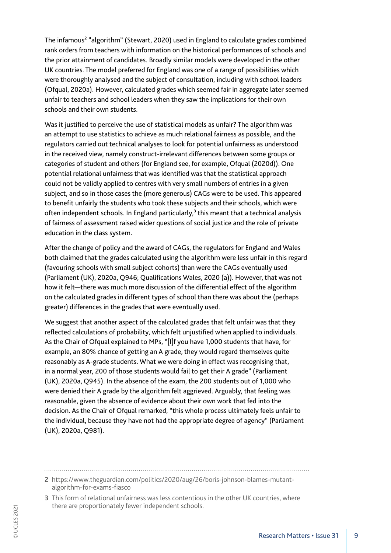The infamous<sup>2</sup> "algorithm" (Stewart, 2020) used in England to calculate grades combined rank orders from teachers with information on the historical performances of schools and the prior attainment of candidates. Broadly similar models were developed in the other UK countries. The model preferred for England was one of a range of possibilities which were thoroughly analysed and the subject of consultation, including with school leaders (Ofqual, 2020a). However, calculated grades which seemed fair in aggregate later seemed unfair to teachers and school leaders when they saw the implications for their own schools and their own students.

Was it justified to perceive the use of statistical models as unfair? The algorithm was an attempt to use statistics to achieve as much relational fairness as possible, and the regulators carried out technical analyses to look for potential unfairness as understood in the received view, namely construct-irrelevant differences between some groups or categories of student and others (for England see, for example, Ofqual (2020d)). One potential relational unfairness that was identified was that the statistical approach could not be validly applied to centres with very small numbers of entries in a given subject, and so in those cases the (more generous) CAGs were to be used. This appeared to benefit unfairly the students who took these subjects and their schools, which were often independent schools. In England particularly, $<sup>3</sup>$  this meant that a technical analysis</sup> of fairness of assessment raised wider questions of social justice and the role of private education in the class system.

After the change of policy and the award of CAGs, the regulators for England and Wales both claimed that the grades calculated using the algorithm were less unfair in this regard (favouring schools with small subject cohorts) than were the CAGs eventually used (Parliament (UK), 2020a, Q946; Qualifications Wales, 2020 (a)). However, that was not how it felt—there was much more discussion of the differential effect of the algorithm on the calculated grades in different types of school than there was about the (perhaps greater) differences in the grades that were eventually used.

We suggest that another aspect of the calculated grades that felt unfair was that they reflected calculations of probability, which felt unjustified when applied to individuals. As the Chair of Ofqual explained to MPs, "[I]f you have 1,000 students that have, for example, an 80% chance of getting an A grade, they would regard themselves quite reasonably as A-grade students. What we were doing in effect was recognising that, in a normal year, 200 of those students would fail to get their A grade" (Parliament (UK), 2020a, Q945). In the absence of the exam, the 200 students out of 1,000 who were denied their A grade by the algorithm felt aggrieved. Arguably, that feeling was reasonable, given the absence of evidence about their own work that fed into the decision. As the Chair of Ofqual remarked, "this whole process ultimately feels unfair to the individual, because they have not had the appropriate degree of agency" (Parliament (UK), 2020a, Q981).

<sup>2</sup> https://www.theguardian.com/politics/2020/aug/26/boris-johnson-blames-mutantalgorithm-for-exams-fiasco

<sup>3</sup> This form of relational unfairness was less contentious in the other UK countries, where there are proportionately fewer independent schools.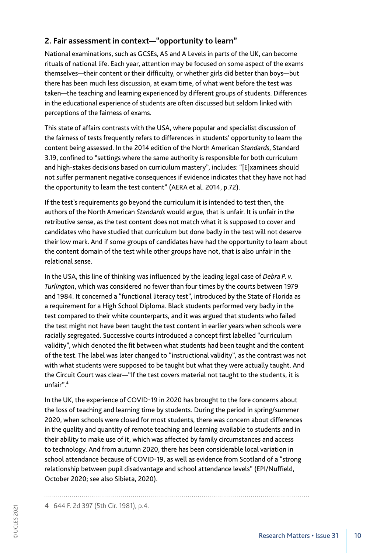#### **2. Fair assessment in context—"opportunity to learn"**

National examinations, such as GCSEs, AS and A Levels in parts of the UK, can become rituals of national life. Each year, attention may be focused on some aspect of the exams themselves—their content or their difficulty, or whether girls did better than boys—but there has been much less discussion, at exam time, of what went before the test was taken—the teaching and learning experienced by different groups of students. Differences in the educational experience of students are often discussed but seldom linked with perceptions of the fairness of exams.

This state of affairs contrasts with the USA, where popular and specialist discussion of the fairness of tests frequently refers to differences in students' opportunity to learn the content being assessed. In the 2014 edition of the North American *Standards*, Standard 3.19, confined to "settings where the same authority is responsible for both curriculum and high-stakes decisions based on curriculum mastery", includes: "[E]xaminees should not suffer permanent negative consequences if evidence indicates that they have not had the opportunity to learn the test content" (AERA et al. 2014, p.72).

If the test's requirements go beyond the curriculum it is intended to test then, the authors of the North American *Standards* would argue, that is unfair. It is unfair in the retributive sense, as the test content does not match what it is supposed to cover and candidates who have studied that curriculum but done badly in the test will not deserve their low mark. And if some groups of candidates have had the opportunity to learn about the content domain of the test while other groups have not, that is also unfair in the relational sense.

In the USA, this line of thinking was influenced by the leading legal case of *Debra P. v. Turlington*, which was considered no fewer than four times by the courts between 1979 and 1984. It concerned a "functional literacy test", introduced by the State of Florida as a requirement for a High School Diploma. Black students performed very badly in the test compared to their white counterparts, and it was argued that students who failed the test might not have been taught the test content in earlier years when schools were racially segregated. Successive courts introduced a concept first labelled "curriculum validity", which denoted the fit between what students had been taught and the content of the test. The label was later changed to "instructional validity", as the contrast was not with what students were supposed to be taught but what they were actually taught. And the Circuit Court was clear—"If the test covers material not taught to the students, it is unfair".4

In the UK, the experience of COVID-19 in 2020 has brought to the fore concerns about the loss of teaching and learning time by students. During the period in spring/summer 2020, when schools were closed for most students, there was concern about differences in the quality and quantity of remote teaching and learning available to students and in their ability to make use of it, which was affected by family circumstances and access to technology. And from autumn 2020, there has been considerable local variation in school attendance because of COVID-19, as well as evidence from Scotland of a "strong relationship between pupil disadvantage and school attendance levels" (EPI/Nuffield, October 2020; see also Sibieta, 2020).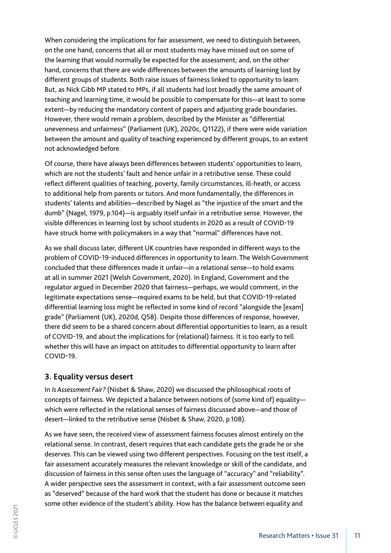When considering the implications for fair assessment, we need to distinguish between, on the one hand, concerns that all or most students may have missed out on some of the learning that would normally be expected for the assessment; and, on the other hand, concerns that there are wide differences between the amounts of learning lost by different groups of students. Both raise issues of fairness linked to opportunity to learn. But, as Nick Gibb MP stated to MPs, if all students had lost broadly the same amount of teaching and learning time, it would be possible to compensate for this—at least to some extent—by reducing the mandatory content of papers and adjusting grade boundaries. However, there would remain a problem, described by the Minister as "differential unevenness and unfairness" (Parliament (UK), 2020c, Q1122), if there were wide variation between the amount and quality of teaching experienced by different groups, to an extent not acknowledged before.

Of course, there have always been differences between students' opportunities to learn, which are not the students' fault and hence unfair in a retributive sense. These could reflect different qualities of teaching, poverty, family circumstances, ill-heath, or access to additional help from parents or tutors. And more fundamentally, the differences in students' talents and abilities—described by Nagel as "the injustice of the smart and the dumb" (Nagel, 1979, p.104)—is arguably itself unfair in a retributive sense. However, the visible differences in learning lost by school students in 2020 as a result of COVID-19 have struck home with policymakers in a way that "normal" differences have not.

As we shall discuss later, different UK countries have responded in different ways to the problem of COVID-19-induced differences in opportunity to learn. The Welsh Government concluded that these differences made it unfair—in a relational sense—to hold exams at all in summer 2021 (Welsh Government, 2020). In England, Government and the regulator argued in December 2020 that fairness—perhaps, we would comment, in the legitimate expectations sense—required exams to be held, but that COVID-19-related differential learning loss might be reflected in some kind of record "alongside the [exam] grade" (Parliament (UK), 2020d, Q58). Despite those differences of response, however, there did seem to be a shared concern about differential opportunities to learn, as a result of COVID-19, and about the implications for (relational) fairness. It is too early to tell whether this will have an impact on attitudes to differential opportunity to learn after COVID-19.

#### **3. Equality versus desert**

In *Is Assessment Fair?* (Nisbet & Shaw, 2020) we discussed the philosophical roots of concepts of fairness. We depicted a balance between notions of (some kind of) equality which were reflected in the relational senses of fairness discussed above—and those of desert—linked to the retributive sense (Nisbet & Shaw, 2020, p.108).

As we have seen, the received view of assessment fairness focuses almost entirely on the relational sense. In contrast, desert requires that each candidate gets the grade he or she deserves. This can be viewed using two different perspectives. Focusing on the test itself, a fair assessment accurately measures the relevant knowledge or skill of the candidate, and discussion of fairness in this sense often uses the language of "accuracy" and "reliability". A wider perspective sees the assessment in context, with a fair assessment outcome seen as "deserved" because of the hard work that the student has done or because it matches some other evidence of the student's ability. How has the balance between equality and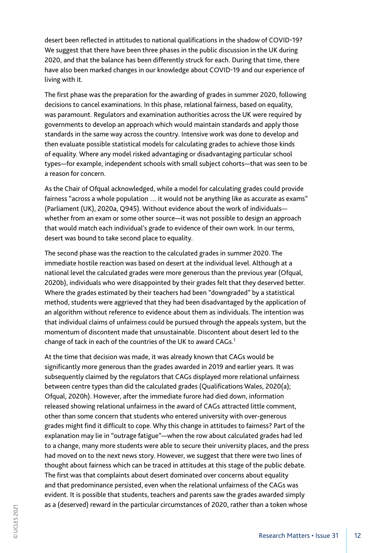desert been reflected in attitudes to national qualifications in the shadow of COVID-19? We suggest that there have been three phases in the public discussion in the UK during 2020, and that the balance has been differently struck for each. During that time, there have also been marked changes in our knowledge about COVID-19 and our experience of living with it.

The first phase was the preparation for the awarding of grades in summer 2020, following decisions to cancel examinations. In this phase, relational fairness, based on equality, was paramount. Regulators and examination authorities across the UK were required by governments to develop an approach which would maintain standards and apply those standards in the same way across the country. Intensive work was done to develop and then evaluate possible statistical models for calculating grades to achieve those kinds of equality. Where any model risked advantaging or disadvantaging particular school types—for example, independent schools with small subject cohorts—that was seen to be a reason for concern.

As the Chair of Ofqual acknowledged, while a model for calculating grades could provide fairness "across a whole population … it would not be anything like as accurate as exams" (Parliament (UK), 2020a, Q945). Without evidence about the work of individuals whether from an exam or some other source—it was not possible to design an approach that would match each individual's grade to evidence of their own work. In our terms, desert was bound to take second place to equality.

The second phase was the reaction to the calculated grades in summer 2020. The immediate hostile reaction was based on desert at the individual level. Although at a national level the calculated grades were more generous than the previous year (Ofqual, 2020b), individuals who were disappointed by their grades felt that they deserved better. Where the grades estimated by their teachers had been "downgraded" by a statistical method, students were aggrieved that they had been disadvantaged by the application of an algorithm without reference to evidence about them as individuals. The intention was that individual claims of unfairness could be pursued through the appeals system, but the momentum of discontent made that unsustainable. Discontent about desert led to the change of tack in each of the countries of the UK to award CAGs.<sup>1</sup>

At the time that decision was made, it was already known that CAGs would be significantly more generous than the grades awarded in 2019 and earlier years. It was subsequently claimed by the regulators that CAGs displayed more relational unfairness between centre types than did the calculated grades (Qualifications Wales, 2020(a); Ofqual, 2020h). However, after the immediate furore had died down, information released showing relational unfairness in the award of CAGs attracted little comment, other than some concern that students who entered university with over-generous grades might find it difficult to cope. Why this change in attitudes to fairness? Part of the explanation may lie in "outrage fatigue"—when the row about calculated grades had led to a change, many more students were able to secure their university places, and the press had moved on to the next news story. However, we suggest that there were two lines of thought about fairness which can be traced in attitudes at this stage of the public debate. The first was that complaints about desert dominated over concerns about equality and that predominance persisted, even when the relational unfairness of the CAGs was evident. It is possible that students, teachers and parents saw the grades awarded simply as a (deserved) reward in the particular circumstances of 2020, rather than a token whose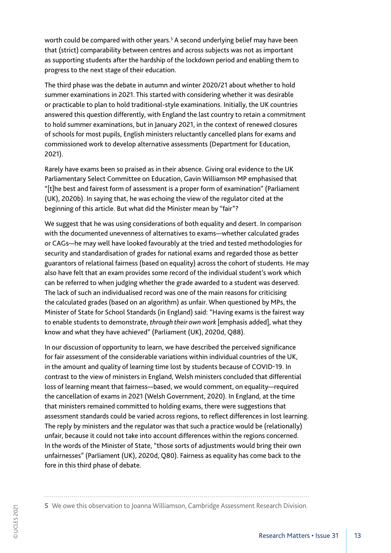worth could be compared with other years.<sup>5</sup> A second underlying belief may have been that (strict) comparability between centres and across subjects was not as important as supporting students after the hardship of the lockdown period and enabling them to progress to the next stage of their education.

The third phase was the debate in autumn and winter 2020/21 about whether to hold summer examinations in 2021. This started with considering whether it was desirable or practicable to plan to hold traditional-style examinations. Initially, the UK countries answered this question differently, with England the last country to retain a commitment to hold summer examinations, but in January 2021, in the context of renewed closures of schools for most pupils, English ministers reluctantly cancelled plans for exams and commissioned work to develop alternative assessments (Department for Education, 2021).

Rarely have exams been so praised as in their absence. Giving oral evidence to the UK Parliamentary Select Committee on Education, Gavin Williamson MP emphasised that "[t]he best and fairest form of assessment is a proper form of examination" (Parliament (UK), 2020b). In saying that, he was echoing the view of the regulator cited at the beginning of this article. But what did the Minister mean by "fair"?

We suggest that he was using considerations of both equality and desert. In comparison with the documented unevenness of alternatives to exams—whether calculated grades or CAGs—he may well have looked favourably at the tried and tested methodologies for security and standardisation of grades for national exams and regarded those as better guarantors of relational fairness (based on equality) across the cohort of students. He may also have felt that an exam provides some record of the individual student's work which can be referred to when judging whether the grade awarded to a student was deserved. The lack of such an individualised record was one of the main reasons for criticising the calculated grades (based on an algorithm) as unfair. When questioned by MPs, the Minister of State for School Standards (in England) said: "Having exams is the fairest way to enable students to demonstrate, *through their own work* [emphasis added], what they know and what they have achieved" (Parliament (UK), 2020d, Q88).

In our discussion of opportunity to learn, we have described the perceived significance for fair assessment of the considerable variations within individual countries of the UK, in the amount and quality of learning time lost by students because of COVID-19. In contrast to the view of ministers in England, Welsh ministers concluded that differential loss of learning meant that fairness—based, we would comment, on equality—required the cancellation of exams in 2021 (Welsh Government, 2020). In England, at the time that ministers remained committed to holding exams, there were suggestions that assessment standards could be varied across regions, to reflect differences in lost learning. The reply by ministers and the regulator was that such a practice would be (relationally) unfair, because it could not take into account differences within the regions concerned. In the words of the Minister of State, "those sorts of adjustments would bring their own unfairnesses" (Parliament (UK), 2020d, Q80). Fairness as equality has come back to the fore in this third phase of debate.

5 We owe this observation to Joanna Williamson, Cambridge Assessment Research Division.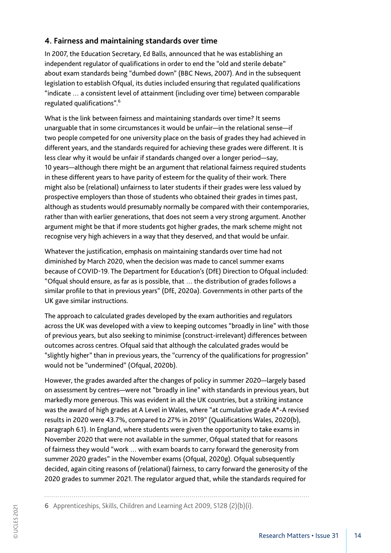#### **4. Fairness and maintaining standards over time**

In 2007, the Education Secretary, Ed Balls, announced that he was establishing an independent regulator of qualifications in order to end the "old and sterile debate" about exam standards being "dumbed down" (BBC News, 2007). And in the subsequent legislation to establish Ofqual, its duties included ensuring that regulated qualifications "indicate … a consistent level of attainment (including over time) between comparable regulated qualifications".6

What is the link between fairness and maintaining standards over time? It seems unarguable that in some circumstances it would be unfair—in the relational sense—if two people competed for one university place on the basis of grades they had achieved in different years, and the standards required for achieving these grades were different. It is less clear why it would be unfair if standards changed over a longer period—say, 10 years—although there might be an argument that relational fairness required students in these different years to have parity of esteem for the quality of their work. There might also be (relational) unfairness to later students if their grades were less valued by prospective employers than those of students who obtained their grades in times past, although as students would presumably normally be compared with their contemporaries, rather than with earlier generations, that does not seem a very strong argument. Another argument might be that if more students got higher grades, the mark scheme might not recognise very high achievers in a way that they deserved, and that would be unfair.

Whatever the justification, emphasis on maintaining standards over time had not diminished by March 2020, when the decision was made to cancel summer exams because of COVID-19. The Department for Education's (DfE) Direction to Ofqual included: "Ofqual should ensure, as far as is possible, that … the distribution of grades follows a similar profile to that in previous years" (DfE, 2020a). Governments in other parts of the UK gave similar instructions.

The approach to calculated grades developed by the exam authorities and regulators across the UK was developed with a view to keeping outcomes "broadly in line" with those of previous years, but also seeking to minimise (construct-irrelevant) differences between outcomes across centres. Ofqual said that although the calculated grades would be "slightly higher" than in previous years, the "currency of the qualifications for progression" would not be "undermined" (Ofqual, 2020b).

However, the grades awarded after the changes of policy in summer 2020—largely based on assessment by centres—were not "broadly in line" with standards in previous years, but markedly more generous. This was evident in all the UK countries, but a striking instance was the award of high grades at A Level in Wales, where "at cumulative grade A\*-A revised results in 2020 were 43.7%, compared to 27% in 2019" (Qualifications Wales, 2020(b), paragraph 6.1). In England, where students were given the opportunity to take exams in November 2020 that were not available in the summer, Ofqual stated that for reasons of fairness they would "work … with exam boards to carry forward the generosity from summer 2020 grades" in the November exams (Ofqual, 2020g). Ofqual subsequently decided, again citing reasons of (relational) fairness, to carry forward the generosity of the 2020 grades to summer 2021. The regulator argued that, while the standards required for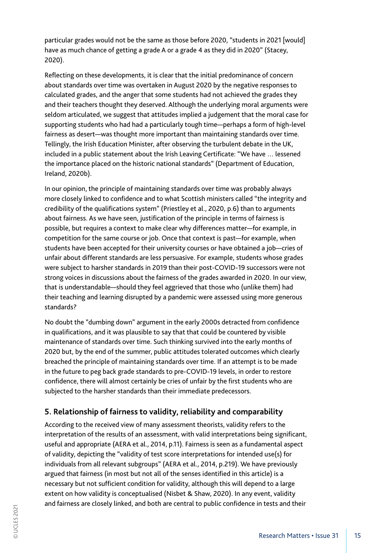particular grades would not be the same as those before 2020, "students in 2021 [would] have as much chance of getting a grade A or a grade 4 as they did in 2020" (Stacey, 2020).

Reflecting on these developments, it is clear that the initial predominance of concern about standards over time was overtaken in August 2020 by the negative responses to calculated grades, and the anger that some students had not achieved the grades they and their teachers thought they deserved. Although the underlying moral arguments were seldom articulated, we suggest that attitudes implied a judgement that the moral case for supporting students who had had a particularly tough time—perhaps a form of high-level fairness as desert—was thought more important than maintaining standards over time. Tellingly, the Irish Education Minister, after observing the turbulent debate in the UK, included in a public statement about the Irish Leaving Certificate: "We have … lessened the importance placed on the historic national standards" (Department of Education, Ireland, 2020b).

In our opinion, the principle of maintaining standards over time was probably always more closely linked to confidence and to what Scottish ministers called "the integrity and credibility of the qualifications system" (Priestley et al., 2020, p.6) than to arguments about fairness. As we have seen, justification of the principle in terms of fairness is possible, but requires a context to make clear why differences matter—for example, in competition for the same course or job. Once that context is past—for example, when students have been accepted for their university courses or have obtained a job—cries of unfair about different standards are less persuasive. For example, students whose grades were subject to harsher standards in 2019 than their post-COVID-19 successors were not strong voices in discussions about the fairness of the grades awarded in 2020. In our view, that is understandable—should they feel aggrieved that those who (unlike them) had their teaching and learning disrupted by a pandemic were assessed using more generous standards?

No doubt the "dumbing down" argument in the early 2000s detracted from confidence in qualifications, and it was plausible to say that that could be countered by visible maintenance of standards over time. Such thinking survived into the early months of 2020 but, by the end of the summer, public attitudes tolerated outcomes which clearly breached the principle of maintaining standards over time. If an attempt is to be made in the future to peg back grade standards to pre-COVID-19 levels, in order to restore confidence, there will almost certainly be cries of unfair by the first students who are subjected to the harsher standards than their immediate predecessors.

#### **5. Relationship of fairness to validity, reliability and comparability**

According to the received view of many assessment theorists, validity refers to the interpretation of the results of an assessment, with valid interpretations being significant, useful and appropriate (AERA et al., 2014, p.11). Fairness is seen as a fundamental aspect of validity, depicting the "validity of test score interpretations for intended use(s) for individuals from all relevant subgroups" (AERA et al., 2014, p.219). We have previously argued that fairness (in most but not all of the senses identified in this article) is a necessary but not sufficient condition for validity, although this will depend to a large extent on how validity is conceptualised (Nisbet & Shaw, 2020). In any event, validity and fairness are closely linked, and both are central to public confidence in tests and their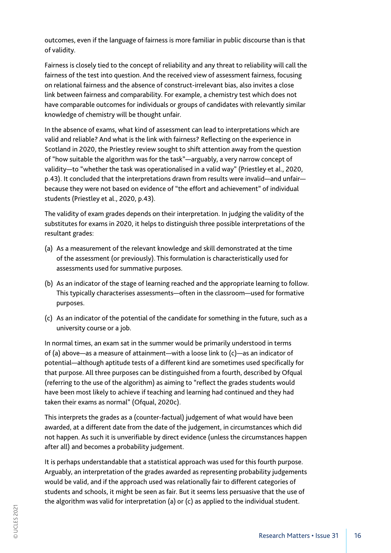outcomes, even if the language of fairness is more familiar in public discourse than is that of validity.

Fairness is closely tied to the concept of reliability and any threat to reliability will call the fairness of the test into question. And the received view of assessment fairness, focusing on relational fairness and the absence of construct-irrelevant bias, also invites a close link between fairness and comparability. For example, a chemistry test which does not have comparable outcomes for individuals or groups of candidates with relevantly similar knowledge of chemistry will be thought unfair.

In the absence of exams, what kind of assessment can lead to interpretations which are valid and reliable? And what is the link with fairness? Reflecting on the experience in Scotland in 2020, the Priestley review sought to shift attention away from the question of "how suitable the algorithm was for the task"—arguably, a very narrow concept of validity—to "whether the task was operationalised in a valid way" (Priestley et al., 2020, p.43). It concluded that the interpretations drawn from results were invalid—and unfair because they were not based on evidence of "the effort and achievement" of individual students (Priestley et al., 2020, p.43).

The validity of exam grades depends on their interpretation. In judging the validity of the substitutes for exams in 2020, it helps to distinguish three possible interpretations of the resultant grades:

- (a) As a measurement of the relevant knowledge and skill demonstrated at the time of the assessment (or previously). This formulation is characteristically used for assessments used for summative purposes.
- (b) As an indicator of the stage of learning reached and the appropriate learning to follow. This typically characterises assessments—often in the classroom—used for formative purposes.
- (c) As an indicator of the potential of the candidate for something in the future, such as a university course or a job.

In normal times, an exam sat in the summer would be primarily understood in terms of (a) above—as a measure of attainment—with a loose link to (c)—as an indicator of potential—although aptitude tests of a different kind are sometimes used specifically for that purpose. All three purposes can be distinguished from a fourth, described by Ofqual (referring to the use of the algorithm) as aiming to "reflect the grades students would have been most likely to achieve if teaching and learning had continued and they had taken their exams as normal" (Ofqual, 2020c).

This interprets the grades as a (counter-factual) judgement of what would have been awarded, at a different date from the date of the judgement, in circumstances which did not happen. As such it is unverifiable by direct evidence (unless the circumstances happen after all) and becomes a probability judgement.

It is perhaps understandable that a statistical approach was used for this fourth purpose. Arguably, an interpretation of the grades awarded as representing probability judgements would be valid, and if the approach used was relationally fair to different categories of students and schools, it might be seen as fair. But it seems less persuasive that the use of the algorithm was valid for interpretation (a) or (c) as applied to the individual student.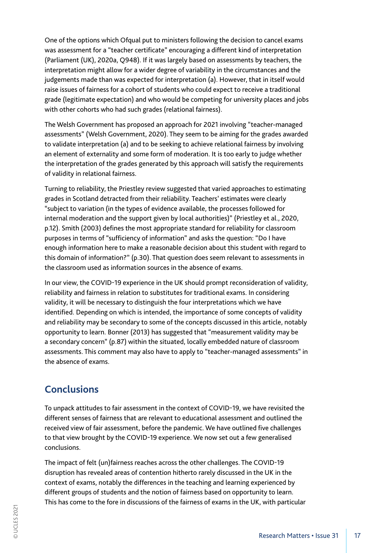One of the options which Ofqual put to ministers following the decision to cancel exams was assessment for a "teacher certificate" encouraging a different kind of interpretation (Parliament (UK), 2020a, Q948). If it was largely based on assessments by teachers, the interpretation might allow for a wider degree of variability in the circumstances and the judgements made than was expected for interpretation (a). However, that in itself would raise issues of fairness for a cohort of students who could expect to receive a traditional grade (legitimate expectation) and who would be competing for university places and jobs with other cohorts who had such grades (relational fairness).

The Welsh Government has proposed an approach for 2021 involving "teacher-managed assessments" (Welsh Government, 2020). They seem to be aiming for the grades awarded to validate interpretation (a) and to be seeking to achieve relational fairness by involving an element of externality and some form of moderation. It is too early to judge whether the interpretation of the grades generated by this approach will satisfy the requirements of validity in relational fairness.

Turning to reliability, the Priestley review suggested that varied approaches to estimating grades in Scotland detracted from their reliability. Teachers' estimates were clearly "subject to variation (in the types of evidence available, the processes followed for internal moderation and the support given by local authorities)" (Priestley et al., 2020, p.12). Smith (2003) defines the most appropriate standard for reliability for classroom purposes in terms of "sufficiency of information" and asks the question: "Do I have enough information here to make a reasonable decision about this student with regard to this domain of information?" (p.30). That question does seem relevant to assessments in the classroom used as information sources in the absence of exams.

In our view, the COVID-19 experience in the UK should prompt reconsideration of validity, reliability and fairness in relation to substitutes for traditional exams. In considering validity, it will be necessary to distinguish the four interpretations which we have identified. Depending on which is intended, the importance of some concepts of validity and reliability may be secondary to some of the concepts discussed in this article, notably opportunity to learn. Bonner (2013) has suggested that "measurement validity may be a secondary concern" (p.87) within the situated, locally embedded nature of classroom assessments. This comment may also have to apply to "teacher-managed assessments" in the absence of exams.

## **Conclusions**

To unpack attitudes to fair assessment in the context of COVID-19, we have revisited the different senses of fairness that are relevant to educational assessment and outlined the received view of fair assessment, before the pandemic. We have outlined five challenges to that view brought by the COVID-19 experience. We now set out a few generalised conclusions.

The impact of felt (un)fairness reaches across the other challenges. The COVID-19 disruption has revealed areas of contention hitherto rarely discussed in the UK in the context of exams, notably the differences in the teaching and learning experienced by different groups of students and the notion of fairness based on opportunity to learn. This has come to the fore in discussions of the fairness of exams in the UK, with particular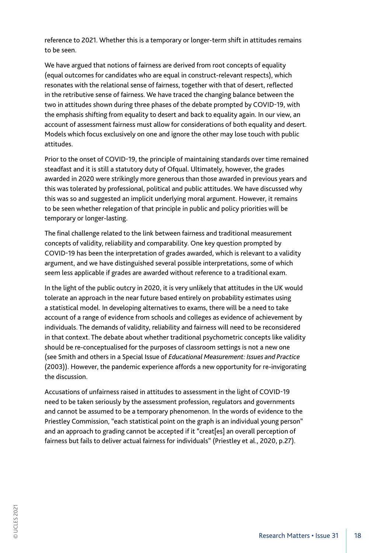reference to 2021. Whether this is a temporary or longer-term shift in attitudes remains to be seen.

We have argued that notions of fairness are derived from root concepts of equality (equal outcomes for candidates who are equal in construct-relevant respects), which resonates with the relational sense of fairness, together with that of desert, reflected in the retributive sense of fairness. We have traced the changing balance between the two in attitudes shown during three phases of the debate prompted by COVID-19, with the emphasis shifting from equality to desert and back to equality again. In our view, an account of assessment fairness must allow for considerations of both equality and desert. Models which focus exclusively on one and ignore the other may lose touch with public attitudes.

Prior to the onset of COVID-19, the principle of maintaining standards over time remained steadfast and it is still a statutory duty of Ofqual. Ultimately, however, the grades awarded in 2020 were strikingly more generous than those awarded in previous years and this was tolerated by professional, political and public attitudes. We have discussed why this was so and suggested an implicit underlying moral argument. However, it remains to be seen whether relegation of that principle in public and policy priorities will be temporary or longer-lasting.

The final challenge related to the link between fairness and traditional measurement concepts of validity, reliability and comparability. One key question prompted by COVID-19 has been the interpretation of grades awarded, which is relevant to a validity argument, and we have distinguished several possible interpretations, some of which seem less applicable if grades are awarded without reference to a traditional exam.

In the light of the public outcry in 2020, it is very unlikely that attitudes in the UK would tolerate an approach in the near future based entirely on probability estimates using a statistical model. In developing alternatives to exams, there will be a need to take account of a range of evidence from schools and colleges as evidence of achievement by individuals. The demands of validity, reliability and fairness will need to be reconsidered in that context. The debate about whether traditional psychometric concepts like validity should be re-conceptualised for the purposes of classroom settings is not a new one (see Smith and others in a Special Issue of *Educational Measurement: Issues and Practice* (2003)). However, the pandemic experience affords a new opportunity for re-invigorating the discussion.

Accusations of unfairness raised in attitudes to assessment in the light of COVID-19 need to be taken seriously by the assessment profession, regulators and governments and cannot be assumed to be a temporary phenomenon. In the words of evidence to the Priestley Commission, "each statistical point on the graph is an individual young person" and an approach to grading cannot be accepted if it "creat[es] an overall perception of fairness but fails to deliver actual fairness for individuals" (Priestley et al., 2020, p.27).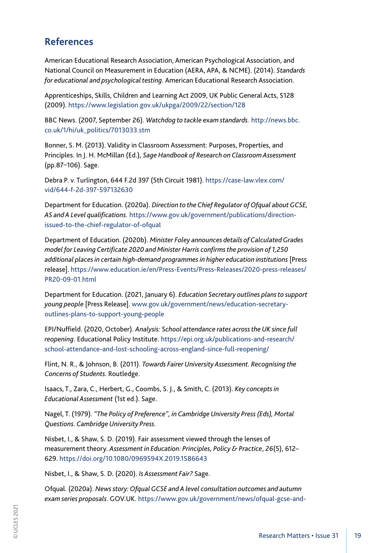# **References**

American Educational Research Association, American Psychological Association, and National Council on Measurement in Education (AERA, APA, & NCME). (2014). *Standards for educational and psychological testing*. American Educational Research Association.

Apprenticeships, Skills, Children and Learning Act 2009, UK Public General Acts, S128 (2009). https://www.legislation.gov.uk/ukpga/2009/22/section/128

BBC News. (2007, September 26). *Watchdog to tackle exam standards.* http://news.bbc. co.uk/1/hi/uk\_politics/7013033.stm

Bonner, S. M. (2013). Validity in Classroom Assessment: Purposes, Properties, and Principles. In J. H. McMillan (Ed.), *Sage Handbook of Research on Classroom Assessment* (pp.87–106). Sage.

Debra P. v. Turlington, 644 F.2d 397 (5th Circuit 1981). https://case-law.vlex.com/ vid/644-f-2d-397-597132630

Department for Education. (2020a). *Direction to the Chief Regulator of Ofqual about GCSE, AS and A Level qualifications.* https://www.gov.uk/government/publications/directionissued-to-the-chief-regulator-of-ofqual

Department of Education. (2020b). *Minister Foley announces details of Calculated Grades model for Leaving Certificate 2020 and Minister Harris confirms the provision of 1,250 additional places in certain high-demand programmes in higher education institutions* [Press release]. https://www.education.ie/en/Press-Events/Press-Releases/2020-press-releases/ PR20-09-01.html

Department for Education. (2021, January 6). *Education Secretary outlines plans to support young people* [Press Release]. www.gov.uk/government/news/education-secretaryoutlines-plans-to-support-young-people

EPI/Nuffield. (2020, October). *Analysis:* S*chool attendance rates across the UK since full reopening*. Educational Policy Institute. https://epi.org.uk/publications-and-research/ school-attendance-and-lost-schooling-across-england-since-full-reopening/

Flint, N. R., & Johnson, B. (2011). *Towards Fairer University Assessment. Recognising the Concerns of Students.* Routledge.

Isaacs, T., Zara, C., Herbert, G., Coombs, S. J., & Smith, C. (2013). *Key concepts in Educational Assessment* (1st ed.). Sage.

Nagel, T. (1979). *"The Policy of Preference", in Cambridge University Press (Eds), Mortal Questions. Cambridge University Press.*

Nisbet, I., & Shaw, S. D. (2019). Fair assessment viewed through the lenses of measurement theory. *Assessment in Education: Principles, Policy & Practice*, *26*(5), 612– 629. https://doi.org/10.1080/0969594X.2019.1586643

Nisbet, I., & Shaw, S. D. (2020). *Is Assessment Fair?* Sage.

Ofqual. (2020a). *News story: Ofqual GCSE and A level consultation outcomes and autumn exam series proposals*. GOV.UK. https://www.gov.uk/government/news/ofqual-gcse-and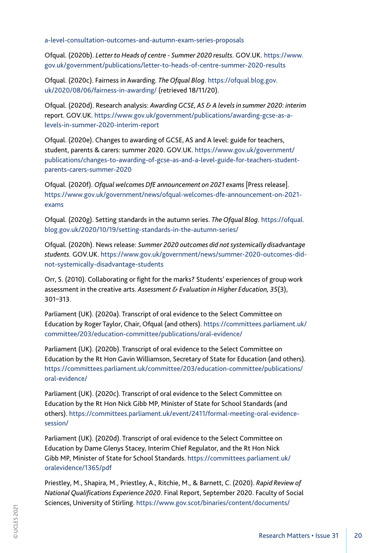a-level-consultation-outcomes-and-autumn-exam-series-proposals

Ofqual. (2020b). *Letter to Heads of centre - Summer 2020 results.* GOV.UK. https://www. gov.uk/government/publications/letter-to-heads-of-centre-summer-2020-results

Ofqual. (2020c). Fairness in Awarding. *The Ofqual Blog*. https://ofqual.blog.gov. uk/2020/08/06/fairness-in-awarding/ (retrieved 18/11/20).

Ofqual. (2020d). Research analysis: *Awarding GCSE, AS & A levels in summer 2020: interim* report. GOV.UK. https://www.gov.uk/government/publications/awarding-gcse-as-alevels-in-summer-2020-interim-report

Ofqual. (2020e). Changes to awarding of GCSE, AS and A level: guide for teachers, student, parents & carers: summer 2020. GOV.UK. https://www.gov.uk/government/ publications/changes-to-awarding-of-gcse-as-and-a-level-guide-for-teachers-studentparents-carers-summer-2020

Ofqual. (2020f). *Ofqual welcomes DfE announcement on 2021 exams* [Press release]. https://www.gov.uk/government/news/ofqual-welcomes-dfe-announcement-on-2021 exams

Ofqual. (2020g). Setting standards in the autumn series. *The Ofqual Blog*. https://ofqual. blog.gov.uk/2020/10/19/setting-standards-in-the-autumn-series/

Ofqual. (2020h). News release: *Summer 2020 outcomes did not systemically disadvantage students.* GOV.UK. https://www.gov.uk/government/news/summer-2020-outcomes-didnot-systemically-disadvantage-students

Orr, S. (2010). Collaborating or fight for the marks? Students' experiences of group work assessment in the creative arts. *Assessment & Evaluation in Higher Education, 35*(3), 301–313.

Parliament (UK). (2020a). Transcript of oral evidence to the Select Committee on Education by Roger Taylor, Chair, Ofqual (and others). https://committees.parliament.uk/ committee/203/education-committee/publications/oral-evidence/

Parliament (UK). (2020b). Transcript of oral evidence to the Select Committee on Education by the Rt Hon Gavin Williamson, Secretary of State for Education (and others). https://committees.parliament.uk/committee/203/education-committee/publications/ oral-evidence/

Parliament (UK). (2020c). Transcript of oral evidence to the Select Committee on Education by the Rt Hon Nick Gibb MP, Minister of State for School Standards (and others). https://committees.parliament.uk/event/2411/formal-meeting-oral-evidencesession/

Parliament (UK). (2020d). Transcript of oral evidence to the Select Committee on Education by Dame Glenys Stacey, Interim Chief Regulator, and the Rt Hon Nick Gibb MP, Minister of State for School Standards. https://committees.parliament.uk/ oralevidence/1365/pdf

Priestley, M., Shapira, M., Priestley, A., Ritchie, M., & Barnett, C. (2020). *Rapid Review of National Qualifications Experience 2020*. Final Report, September 2020. Faculty of Social Sciences, University of Stirling. https://www.gov.scot/binaries/content/documents/